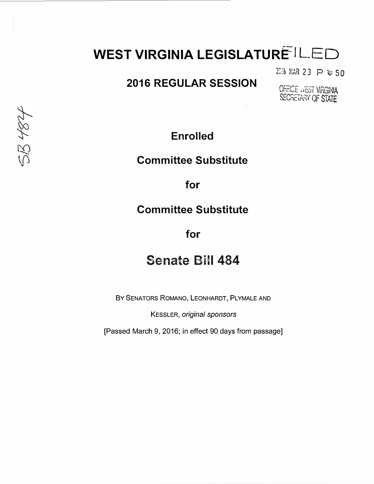# **WEST VIRGINIA LEGISLATURE IL ED**

2016 MAR 23 P 4:50

### **2016 REGULAR SESSION**

OFFICE WEST VIRGINIA SECRETARY OF STATE

**Enrolled** 

#### **Committee Substitute**

**for** 

#### **Committee Substitute**

**for** 

## **Senate Bill 484**

BY SENATORS ROMANO, LEONHARDT, PLYMALE AND

KESSLER, *original sponsors* 

[Passed March 9, 2016; in effect 90 days from passage]

58484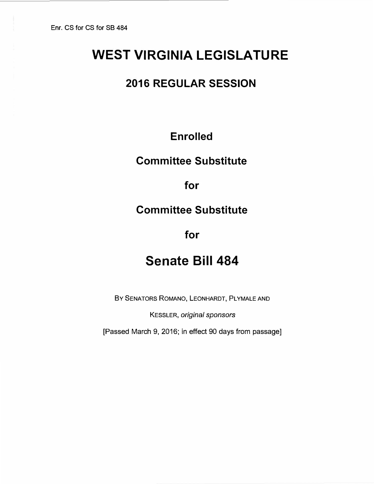# **WEST VIRGINIA LEGISLATURE**

### **2016 REGULAR SESSION**

### **Enrolled**

### **Committee Substitute**

**for** 

#### **Committee Substitute**

**for** 

# **Senate Bill 484**

BY SENATORS ROMANO, LEONHARDT, PLYMALE AND

KESSLER, *original sponsors* 

[Passed March 9, 2016; in effect 90 days from passage]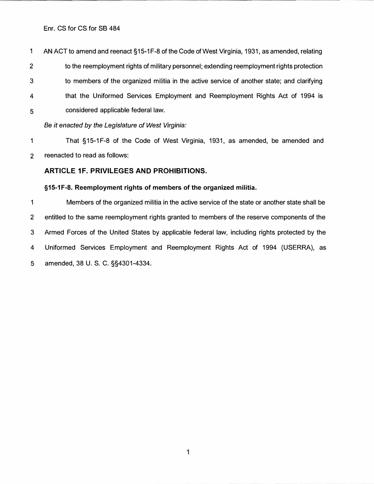Enr. CS for CS for SB 484

1 AN ACT to amend and reenact §15-1F-8 of the Code of West Virginia, 1931, as amended, relating 2 to the reemployment rights of military personnel; extending reemployment rights protection 3 to members of the organized militia in the active service of another state; and clarifying 4 that the Uniformed Services Employment and Reemployment Rights Act of 1994 is 5 considered applicable federal law.

*Be it enacted by the Legislature of West Virginia:* 

1 That § 15-1 F-8 of the Code of West Virginia, 1931, as amended, be amended and 2 reenacted to read as follows:

#### **ARTICLE 1F. PRIVILEGES AND PROHIBITIONS.**

#### **§15-1F-8. Reemployment rights of members of the organized militia.**

1 Members of the organized militia in the active service of the state or another state shall be 2 entitled to the same reemployment rights granted to members of the reserve components of the 3 Armed Forces of the United States by applicable federal law, including rights protected by the 4 Uniformed Services Employment and Reemployment Rights Act of 1994 (USERRA), as 5 amended, 38 U. S. C. §§4301-4334.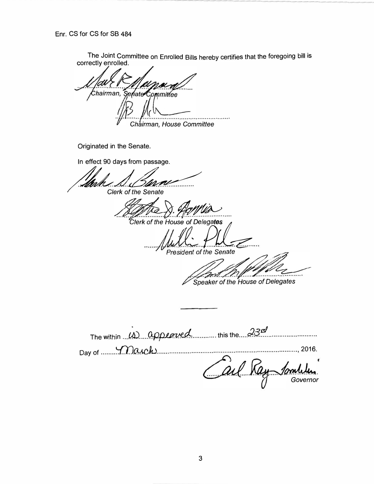Enr. CS for CS for SB 484

The Joint Committee on Enrolled Bills hereby certifies that the foregoing bill is correctly enrolled.

Chairman, Senato Committee . . . . . . . . . . . . Chairman, House Committee

Originated in the Senate.

In effect 90 days from passage.

**Clerk of the Senate** 

Clerk of the House of Delegates

**President of the Senate** 

Speaker of the House of Delegates

The within  $(1)$  appeaved this the  $230$ Day of Case March Carl Ray Governor